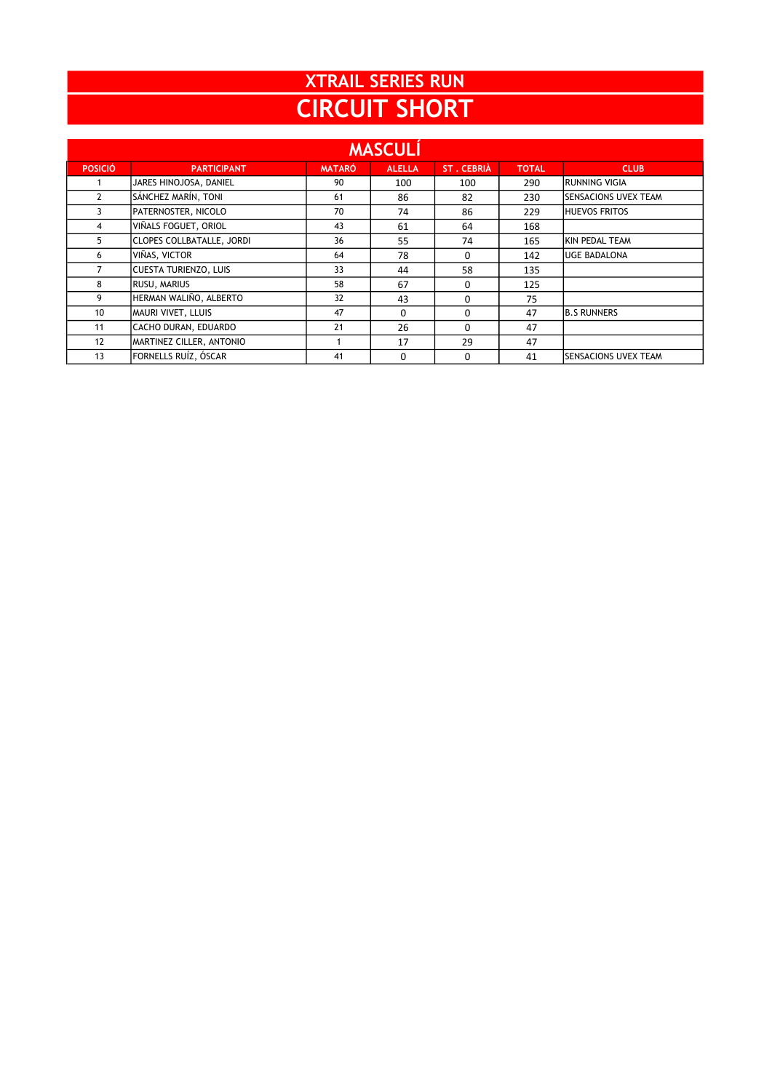## CIRCUIT SHORT XTRAIL SERIES RUN

| <b>MASCULI</b>  |                              |               |               |                   |              |                             |  |  |  |  |
|-----------------|------------------------------|---------------|---------------|-------------------|--------------|-----------------------------|--|--|--|--|
| <b>POSICIÓ</b>  | <b>PARTICIPANT</b>           | <b>MATARÓ</b> | <b>ALELLA</b> | <b>ST. CEBRIÀ</b> | <b>TOTAL</b> | <b>CLUB</b>                 |  |  |  |  |
|                 | JARES HINOJOSA, DANIEL       | 90            | 100           | 100               | 290          | IRUNNING VIGIA              |  |  |  |  |
| $\mathbf{2}$    | SÁNCHEZ MARÍN, TONI          | 61            | 86            | 82                | 230          | <b>SENSACIONS UVEX TEAM</b> |  |  |  |  |
|                 | PATERNOSTER, NICOLO          | 70            | 74            | 86                | 229          | <b>HUEVOS FRITOS</b>        |  |  |  |  |
| 4               | VIÑALS FOGUET. ORIOL         | 43            | 61            | 64                | 168          |                             |  |  |  |  |
| 5               | CLOPES COLLBATALLE, JORDI    | 36            | 55            | 74                | 165          | KIN PEDAL TEAM              |  |  |  |  |
| 6               | VIÑAS, VICTOR                | 64            | 78            | 0                 | 142          | <b>UGE BADALONA</b>         |  |  |  |  |
|                 | <b>CUESTA TURIENZO, LUIS</b> | 33            | 44            | 58                | 135          |                             |  |  |  |  |
| 8               | RUSU, MARIUS                 | 58            | 67            | 0                 | 125          |                             |  |  |  |  |
| 9               | HERMAN WALIÑO, ALBERTO       | 32            | 43            | 0                 | 75           |                             |  |  |  |  |
| 10 <sup>°</sup> | MAURI VIVET, LLUIS           | 47            | 0             | 0                 | 47           | <b>B.S RUNNERS</b>          |  |  |  |  |
| 11              | CACHO DURAN, EDUARDO         | 21            | 26            | 0                 | 47           |                             |  |  |  |  |
| 12              | MARTINEZ CILLER, ANTONIO     |               | 17            | 29                | 47           |                             |  |  |  |  |
| 13              | FORNELLS RUÍZ, ÓSCAR         | 41            | 0             | 0                 | 41           | <b>SENSACIONS UVEX TEAM</b> |  |  |  |  |